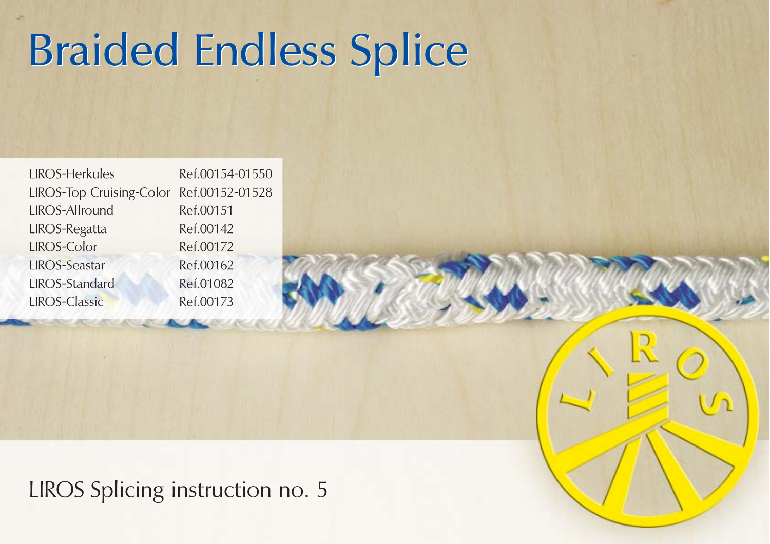## **Braided Endless Splice**

| <b>LIROS-Herkules</b>                    | Ref.00154-01550 |
|------------------------------------------|-----------------|
| LIROS-Top Cruising-Color Ref.00152-01528 |                 |
| LIROS-Allround                           | Ref.00151       |
| <b>LIROS-Regatta</b>                     | Ref.00142       |
| LIROS-Color                              | Ref.00172       |
| <b>LIROS-Seastar</b>                     | Ref.00162       |
| <b>LIROS-Standard</b>                    | Ref.01082       |
| <b>LIROS-Classic</b>                     | Ref.00173       |
|                                          |                 |

LIROS Splicing instruction no. 5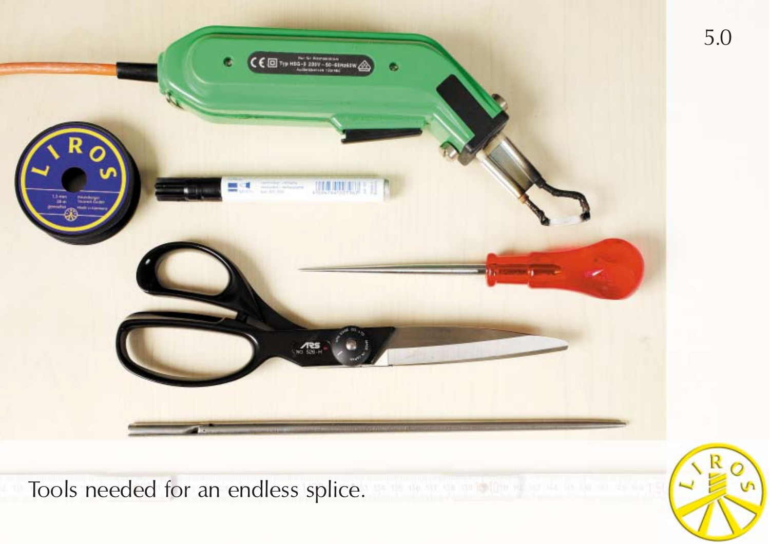

Tools needed for an endless splice.

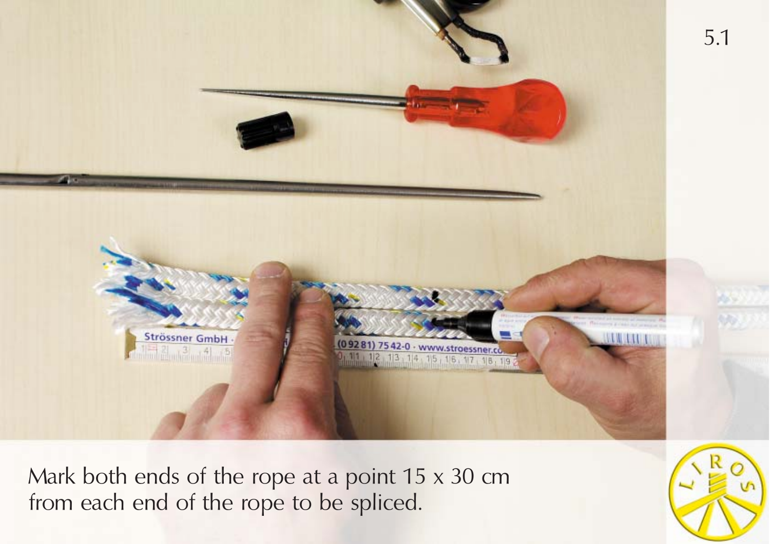

Mark both ends of the rope at a point 15 x 30 cm from each end of the rope to be spliced.

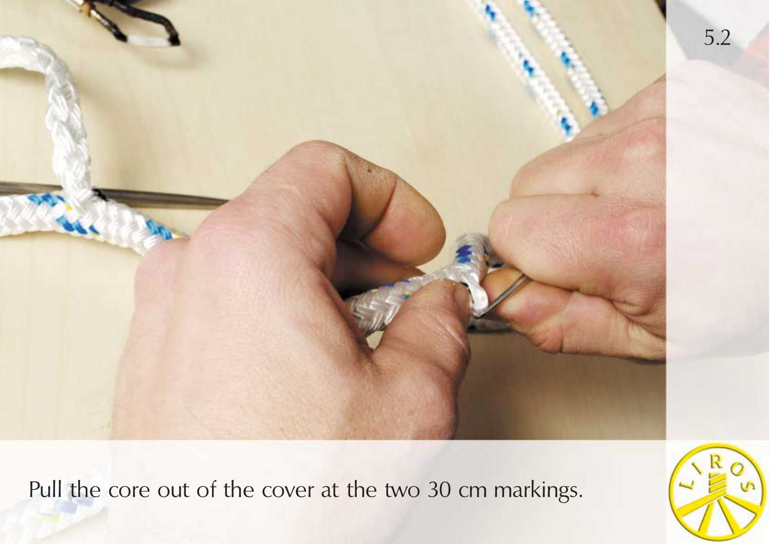

Pull the core out of the cover at the two 30 cm markings.

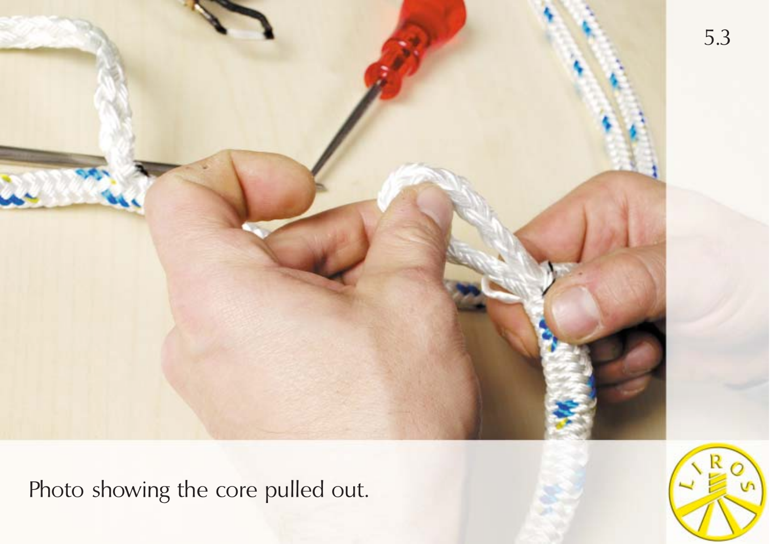

Photo showing the core pulled out.

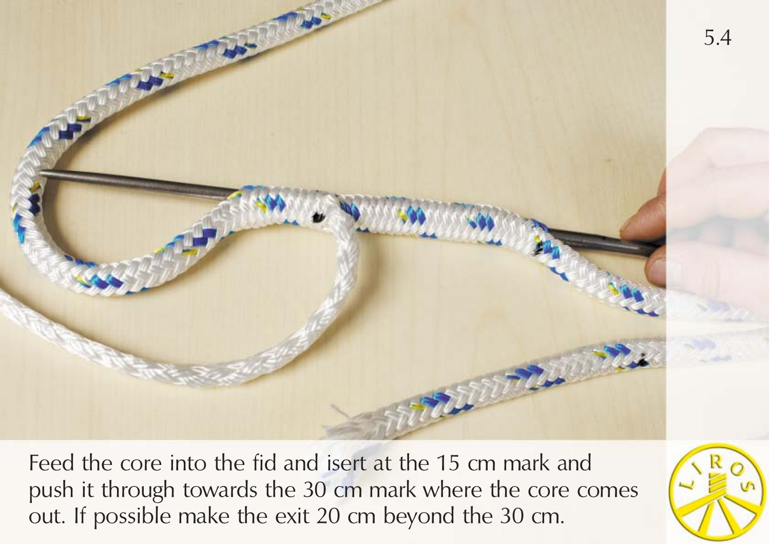

Feed the core into the fid and isert at the 15 cm mark and push it through towards the 30 cm mark where the core comes out. If possible make the exit 20 cm beyond the 30 cm.

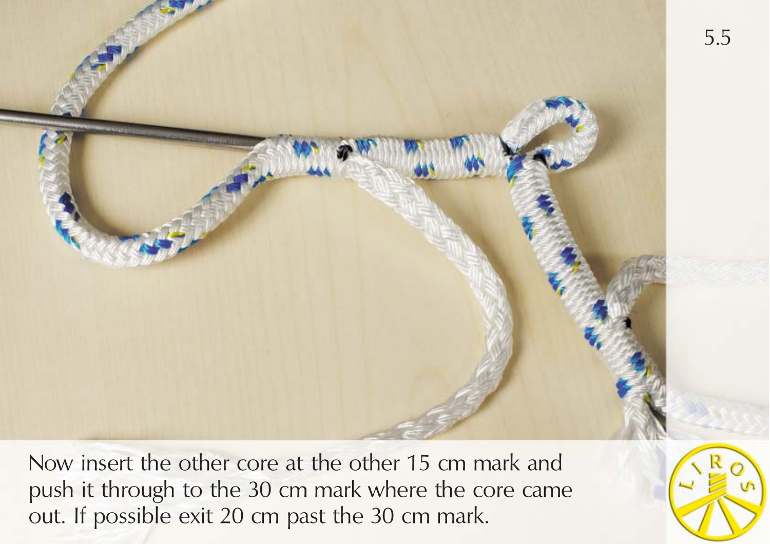

Now insert the other core at the other 15 cm mark and push it through to the 30 cm mark where the core came out. If possible exit 20 cm past the 30 cm mark.

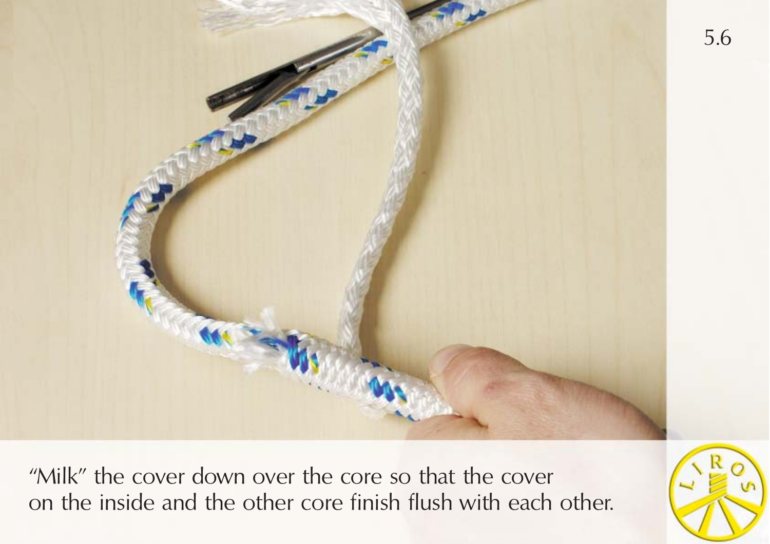

"Milk" the cover down over the core so that the cover on the inside and the other core finish flush with each other.

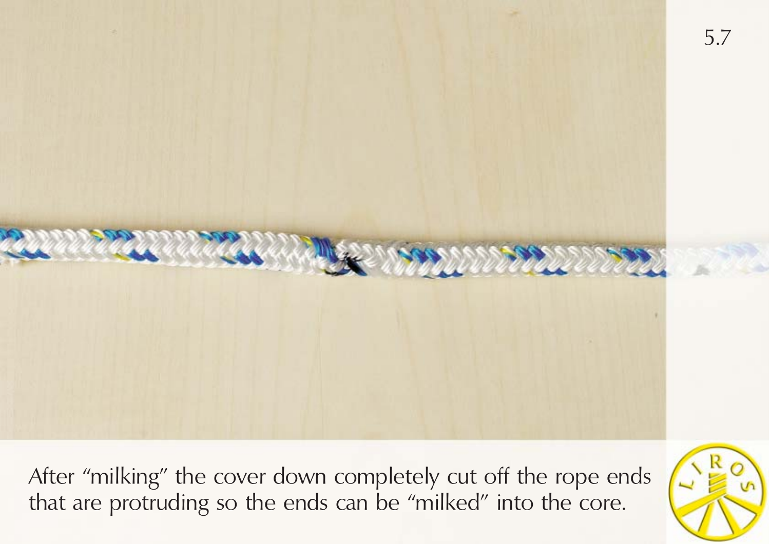

After "milking" the cover down completely cut off the rope ends that are protruding so the ends can be "milked" into the core.

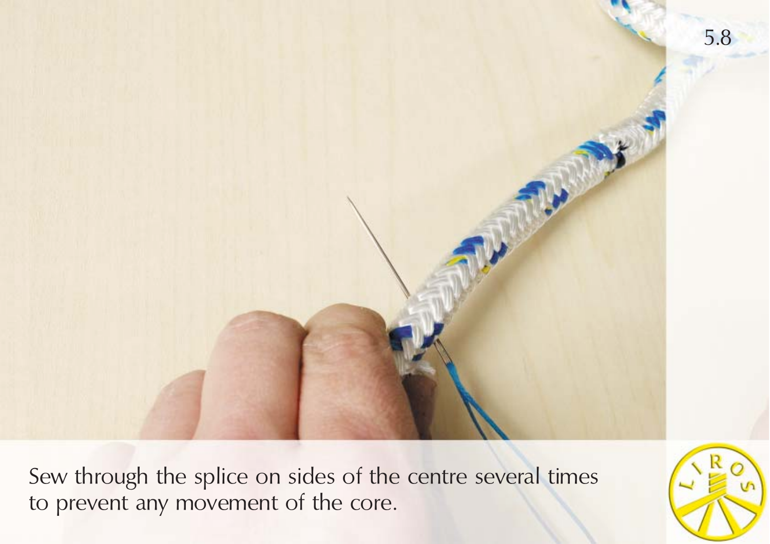

Sew through the splice on sides of the centre several times to prevent any movement of the core.